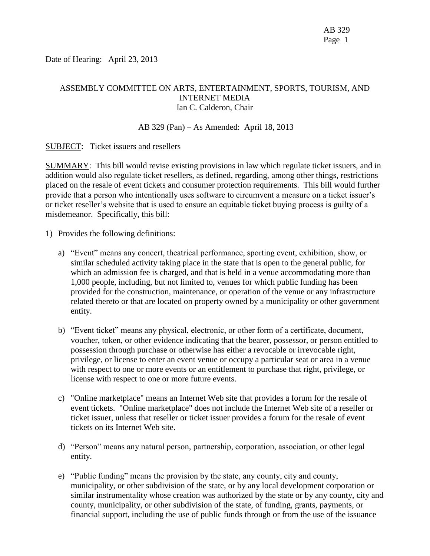Date of Hearing: April 23, 2013

# ASSEMBLY COMMITTEE ON ARTS, ENTERTAINMENT, SPORTS, TOURISM, AND INTERNET MEDIA Ian C. Calderon, Chair

## AB 329 (Pan) – As Amended: April 18, 2013

## SUBJECT: Ticket issuers and resellers

SUMMARY: This bill would revise existing provisions in law which regulate ticket issuers, and in addition would also regulate ticket resellers, as defined, regarding, among other things, restrictions placed on the resale of event tickets and consumer protection requirements. This bill would further provide that a person who intentionally uses software to circumvent a measure on a ticket issuer's or ticket reseller's website that is used to ensure an equitable ticket buying process is guilty of a misdemeanor. Specifically, this bill:

- 1) Provides the following definitions:
	- a) "Event" means any concert, theatrical performance, sporting event, exhibition, show, or similar scheduled activity taking place in the state that is open to the general public, for which an admission fee is charged, and that is held in a venue accommodating more than 1,000 people, including, but not limited to, venues for which public funding has been provided for the construction, maintenance, or operation of the venue or any infrastructure related thereto or that are located on property owned by a municipality or other government entity.
	- b) "Event ticket" means any physical, electronic, or other form of a certificate, document, voucher, token, or other evidence indicating that the bearer, possessor, or person entitled to possession through purchase or otherwise has either a revocable or irrevocable right, privilege, or license to enter an event venue or occupy a particular seat or area in a venue with respect to one or more events or an entitlement to purchase that right, privilege, or license with respect to one or more future events.
	- c) "Online marketplace" means an Internet Web site that provides a forum for the resale of event tickets. "Online marketplace" does not include the Internet Web site of a reseller or ticket issuer, unless that reseller or ticket issuer provides a forum for the resale of event tickets on its Internet Web site.
	- d) "Person" means any natural person, partnership, corporation, association, or other legal entity.
	- e) "Public funding" means the provision by the state, any county, city and county, municipality, or other subdivision of the state, or by any local development corporation or similar instrumentality whose creation was authorized by the state or by any county, city and county, municipality, or other subdivision of the state, of funding, grants, payments, or financial support, including the use of public funds through or from the use of the issuance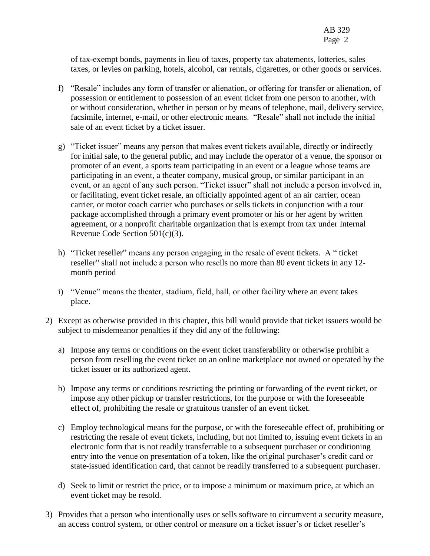of tax-exempt bonds, payments in lieu of taxes, property tax abatements, lotteries, sales taxes, or levies on parking, hotels, alcohol, car rentals, cigarettes, or other goods or services.

- f) "Resale" includes any form of transfer or alienation, or offering for transfer or alienation, of possession or entitlement to possession of an event ticket from one person to another, with or without consideration, whether in person or by means of telephone, mail, delivery service, facsimile, internet, e-mail, or other electronic means. "Resale" shall not include the initial sale of an event ticket by a ticket issuer.
- g) "Ticket issuer" means any person that makes event tickets available, directly or indirectly for initial sale, to the general public, and may include the operator of a venue, the sponsor or promoter of an event, a sports team participating in an event or a league whose teams are participating in an event, a theater company, musical group, or similar participant in an event, or an agent of any such person. "Ticket issuer" shall not include a person involved in, or facilitating, event ticket resale, an officially appointed agent of an air carrier, ocean carrier, or motor coach carrier who purchases or sells tickets in conjunction with a tour package accomplished through a primary event promoter or his or her agent by written agreement, or a nonprofit charitable organization that is exempt from tax under Internal Revenue Code Section 501(c)(3).
- h) "Ticket reseller" means any person engaging in the resale of event tickets. A " ticket reseller" shall not include a person who resells no more than 80 event tickets in any 12 month period
- i) "Venue" means the theater, stadium, field, hall, or other facility where an event takes place.
- 2) Except as otherwise provided in this chapter, this bill would provide that ticket issuers would be subject to misdemeanor penalties if they did any of the following:
	- a) Impose any terms or conditions on the event ticket transferability or otherwise prohibit a person from reselling the event ticket on an online marketplace not owned or operated by the ticket issuer or its authorized agent.
	- b) Impose any terms or conditions restricting the printing or forwarding of the event ticket, or impose any other pickup or transfer restrictions, for the purpose or with the foreseeable effect of, prohibiting the resale or gratuitous transfer of an event ticket.
	- c) Employ technological means for the purpose, or with the foreseeable effect of, prohibiting or restricting the resale of event tickets, including, but not limited to, issuing event tickets in an electronic form that is not readily transferrable to a subsequent purchaser or conditioning entry into the venue on presentation of a token, like the original purchaser's credit card or state-issued identification card, that cannot be readily transferred to a subsequent purchaser.
	- d) Seek to limit or restrict the price, or to impose a minimum or maximum price, at which an event ticket may be resold.
- 3) Provides that a person who intentionally uses or sells software to circumvent a security measure, an access control system, or other control or measure on a ticket issuer's or ticket reseller's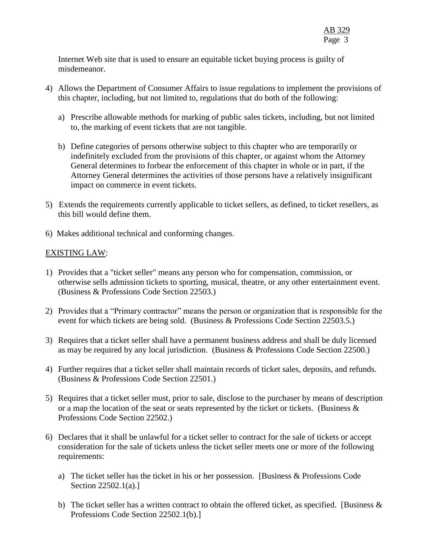Internet Web site that is used to ensure an equitable ticket buying process is guilty of misdemeanor.

- 4) Allows the Department of Consumer Affairs to issue regulations to implement the provisions of this chapter, including, but not limited to, regulations that do both of the following:
	- a) Prescribe allowable methods for marking of public sales tickets, including, but not limited to, the marking of event tickets that are not tangible.
	- b) Define categories of persons otherwise subject to this chapter who are temporarily or indefinitely excluded from the provisions of this chapter, or against whom the Attorney General determines to forbear the enforcement of this chapter in whole or in part, if the Attorney General determines the activities of those persons have a relatively insignificant impact on commerce in event tickets.
- 5) Extends the requirements currently applicable to ticket sellers, as defined, to ticket resellers, as this bill would define them.
- 6) Makes additional technical and conforming changes.

# EXISTING LAW:

- 1) Provides that a "ticket seller" means any person who for compensation, commission, or otherwise sells admission tickets to sporting, musical, theatre, or any other entertainment event. (Business & Professions Code Section 22503.)
- 2) Provides that a "Primary contractor" means the person or organization that is responsible for the event for which tickets are being sold. (Business & Professions Code Section 22503.5.)
- 3) Requires that a ticket seller shall have a permanent business address and shall be duly licensed as may be required by any local jurisdiction. (Business & Professions Code Section 22500.)
- 4) Further requires that a ticket seller shall maintain records of ticket sales, deposits, and refunds. (Business & Professions Code Section 22501.)
- 5) Requires that a ticket seller must, prior to sale, disclose to the purchaser by means of description or a map the location of the seat or seats represented by the ticket or tickets. (Business  $\&$ Professions Code Section 22502.)
- 6) Declares that it shall be unlawful for a ticket seller to contract for the sale of tickets or accept consideration for the sale of tickets unless the ticket seller meets one or more of the following requirements:
	- a) The ticket seller has the ticket in his or her possession. [Business & Professions Code Section 22502.1(a).]
	- b) The ticket seller has a written contract to obtain the offered ticket, as specified. [Business  $\&$ Professions Code Section 22502.1(b).]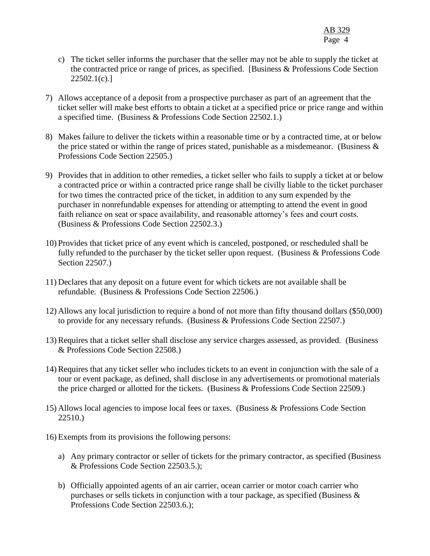- c) The ticket seller informs the purchaser that the seller may not be able to supply the ticket at the contracted price or range of prices, as specified. [Business & Professions Code Section  $22502.1(c).$
- 7) Allows acceptance of a deposit from a prospective purchaser as part of an agreement that the ticket seller will make best efforts to obtain a ticket at a specified price or price range and within a specified time. (Business & Professions Code Section 22502.1.)
- 8) Makes failure to deliver the tickets within a reasonable time or by a contracted time, at or below the price stated or within the range of prices stated, punishable as a misdemeanor. (Business  $\&$ Professions Code Section 22505.)
- 9) Provides that in addition to other remedies, a ticket seller who fails to supply a ticket at or below a contracted price or within a contracted price range shall be civilly liable to the ticket purchaser for two times the contracted price of the ticket, in addition to any sum expended by the purchaser in nonrefundable expenses for attending or attempting to attend the event in good faith reliance on seat or space availability, and reasonable attorney's fees and court costs. (Business & Professions Code Section 22502.3.)
- 10) Provides that ticket price of any event which is canceled, postponed, or rescheduled shall be fully refunded to the purchaser by the ticket seller upon request. (Business & Professions Code Section 22507.)
- 11) Declares that any deposit on a future event for which tickets are not available shall be refundable. (Business & Professions Code Section 22506.)
- 12) Allows any local jurisdiction to require a bond of not more than fifty thousand dollars (\$50,000) to provide for any necessary refunds. (Business & Professions Code Section 22507.)
- 13) Requires that a ticket seller shall disclose any service charges assessed, as provided. (Business & Professions Code Section 22508.)
- 14) Requires that any ticket seller who includes tickets to an event in conjunction with the sale of a tour or event package, as defined, shall disclose in any advertisements or promotional materials the price charged or allotted for the tickets. (Business & Professions Code Section 22509.)
- 15) Allows local agencies to impose local fees or taxes. (Business & Professions Code Section 22510.)
- 16) Exempts from its provisions the following persons:
	- a) Any primary contractor or seller of tickets for the primary contractor, as specified (Business & Professions Code Section 22503.5.);
	- b) Officially appointed agents of an air carrier, ocean carrier or motor coach carrier who purchases or sells tickets in conjunction with a tour package, as specified (Business & Professions Code Section 22503.6.);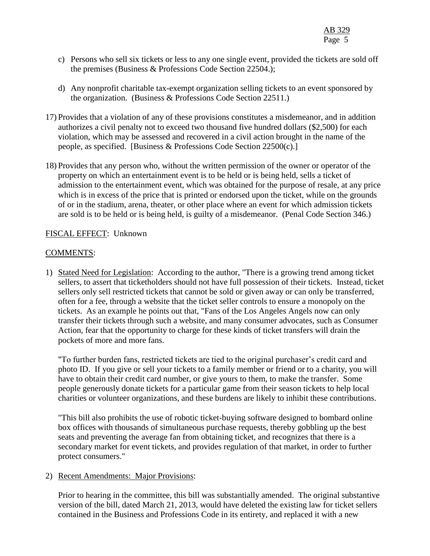- c) Persons who sell six tickets or less to any one single event, provided the tickets are sold off the premises (Business & Professions Code Section 22504.);
- d) Any nonprofit charitable tax-exempt organization selling tickets to an event sponsored by the organization. (Business & Professions Code Section 22511.)
- 17) Provides that a violation of any of these provisions constitutes a misdemeanor, and in addition authorizes a civil penalty not to exceed two thousand five hundred dollars (\$2,500) for each violation, which may be assessed and recovered in a civil action brought in the name of the people, as specified. [Business & Professions Code Section 22500(c).]
- 18) Provides that any person who, without the written permission of the owner or operator of the property on which an entertainment event is to be held or is being held, sells a ticket of admission to the entertainment event, which was obtained for the purpose of resale, at any price which is in excess of the price that is printed or endorsed upon the ticket, while on the grounds of or in the stadium, arena, theater, or other place where an event for which admission tickets are sold is to be held or is being held, is guilty of a misdemeanor. (Penal Code Section 346.)

# FISCAL EFFECT: Unknown

# COMMENTS:

1) Stated Need for Legislation: According to the author, "There is a growing trend among ticket sellers, to assert that ticketholders should not have full possession of their tickets. Instead, ticket sellers only sell restricted tickets that cannot be sold or given away or can only be transferred, often for a fee, through a website that the ticket seller controls to ensure a monopoly on the tickets. As an example he points out that, "Fans of the Los Angeles Angels now can only transfer their tickets through such a website, and many consumer advocates, such as Consumer Action, fear that the opportunity to charge for these kinds of ticket transfers will drain the pockets of more and more fans.

"To further burden fans, restricted tickets are tied to the original purchaser's credit card and photo ID. If you give or sell your tickets to a family member or friend or to a charity, you will have to obtain their credit card number, or give yours to them, to make the transfer. Some people generously donate tickets for a particular game from their season tickets to help local charities or volunteer organizations, and these burdens are likely to inhibit these contributions.

"This bill also prohibits the use of robotic ticket-buying software designed to bombard online box offices with thousands of simultaneous purchase requests, thereby gobbling up the best seats and preventing the average fan from obtaining ticket, and recognizes that there is a secondary market for event tickets, and provides regulation of that market, in order to further protect consumers."

#### 2) Recent Amendments: Major Provisions:

Prior to hearing in the committee, this bill was substantially amended. The original substantive version of the bill, dated March 21, 2013, would have deleted the existing law for ticket sellers contained in the Business and Professions Code in its entirety, and replaced it with a new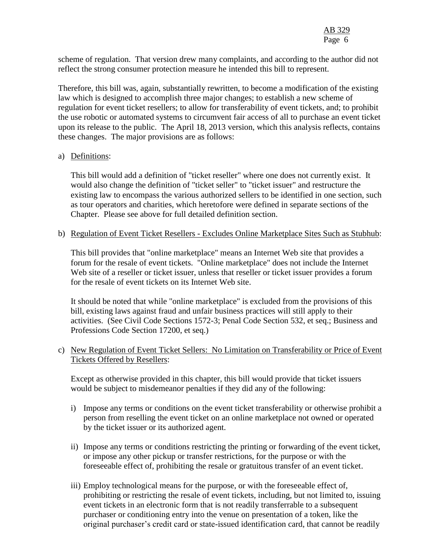scheme of regulation. That version drew many complaints, and according to the author did not reflect the strong consumer protection measure he intended this bill to represent.

Therefore, this bill was, again, substantially rewritten, to become a modification of the existing law which is designed to accomplish three major changes; to establish a new scheme of regulation for event ticket resellers; to allow for transferability of event tickets, and; to prohibit the use robotic or automated systems to circumvent fair access of all to purchase an event ticket upon its release to the public. The April 18, 2013 version, which this analysis reflects, contains these changes. The major provisions are as follows:

## a) Definitions:

This bill would add a definition of "ticket reseller" where one does not currently exist. It would also change the definition of "ticket seller" to "ticket issuer" and restructure the existing law to encompass the various authorized sellers to be identified in one section, such as tour operators and charities, which heretofore were defined in separate sections of the Chapter. Please see above for full detailed definition section.

## b) Regulation of Event Ticket Resellers - Excludes Online Marketplace Sites Such as Stubhub:

This bill provides that "online marketplace" means an Internet Web site that provides a forum for the resale of event tickets. "Online marketplace" does not include the Internet Web site of a reseller or ticket issuer, unless that reseller or ticket issuer provides a forum for the resale of event tickets on its Internet Web site.

It should be noted that while "online marketplace" is excluded from the provisions of this bill, existing laws against fraud and unfair business practices will still apply to their activities. (See Civil Code Sections 1572-3; Penal Code Section 532, et seq.; Business and Professions Code Section 17200, et seq.)

## c) New Regulation of Event Ticket Sellers: No Limitation on Transferability or Price of Event Tickets Offered by Resellers:

Except as otherwise provided in this chapter, this bill would provide that ticket issuers would be subject to misdemeanor penalties if they did any of the following:

- i) Impose any terms or conditions on the event ticket transferability or otherwise prohibit a person from reselling the event ticket on an online marketplace not owned or operated by the ticket issuer or its authorized agent.
- ii) Impose any terms or conditions restricting the printing or forwarding of the event ticket, or impose any other pickup or transfer restrictions, for the purpose or with the foreseeable effect of, prohibiting the resale or gratuitous transfer of an event ticket.
- iii) Employ technological means for the purpose, or with the foreseeable effect of, prohibiting or restricting the resale of event tickets, including, but not limited to, issuing event tickets in an electronic form that is not readily transferrable to a subsequent purchaser or conditioning entry into the venue on presentation of a token, like the original purchaser's credit card or state-issued identification card, that cannot be readily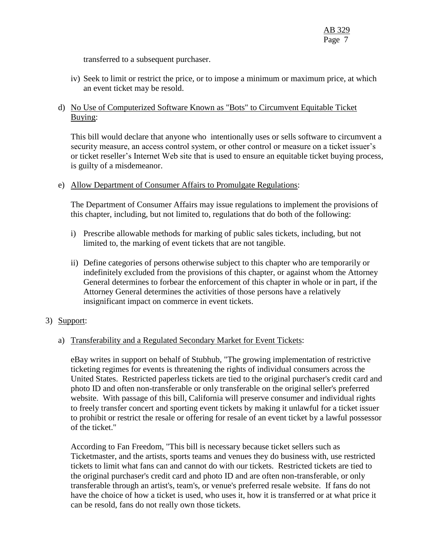transferred to a subsequent purchaser.

iv) Seek to limit or restrict the price, or to impose a minimum or maximum price, at which an event ticket may be resold.

## d) No Use of Computerized Software Known as "Bots" to Circumvent Equitable Ticket Buying:

This bill would declare that anyone who intentionally uses or sells software to circumvent a security measure, an access control system, or other control or measure on a ticket issuer's or ticket reseller's Internet Web site that is used to ensure an equitable ticket buying process, is guilty of a misdemeanor.

## e) Allow Department of Consumer Affairs to Promulgate Regulations:

The Department of Consumer Affairs may issue regulations to implement the provisions of this chapter, including, but not limited to, regulations that do both of the following:

- i) Prescribe allowable methods for marking of public sales tickets, including, but not limited to, the marking of event tickets that are not tangible.
- ii) Define categories of persons otherwise subject to this chapter who are temporarily or indefinitely excluded from the provisions of this chapter, or against whom the Attorney General determines to forbear the enforcement of this chapter in whole or in part, if the Attorney General determines the activities of those persons have a relatively insignificant impact on commerce in event tickets.

# 3) Support:

# a) Transferability and a Regulated Secondary Market for Event Tickets:

eBay writes in support on behalf of Stubhub, "The growing implementation of restrictive ticketing regimes for events is threatening the rights of individual consumers across the United States. Restricted paperless tickets are tied to the original purchaser's credit card and photo ID and often non-transferable or only transferable on the original seller's preferred website. With passage of this bill, California will preserve consumer and individual rights to freely transfer concert and sporting event tickets by making it unlawful for a ticket issuer to prohibit or restrict the resale or offering for resale of an event ticket by a lawful possessor of the ticket."

According to Fan Freedom, "This bill is necessary because ticket sellers such as Ticketmaster, and the artists, sports teams and venues they do business with, use restricted tickets to limit what fans can and cannot do with our tickets. Restricted tickets are tied to the original purchaser's credit card and photo ID and are often non-transferable, or only transferable through an artist's, team's, or venue's preferred resale website. If fans do not have the choice of how a ticket is used, who uses it, how it is transferred or at what price it can be resold, fans do not really own those tickets.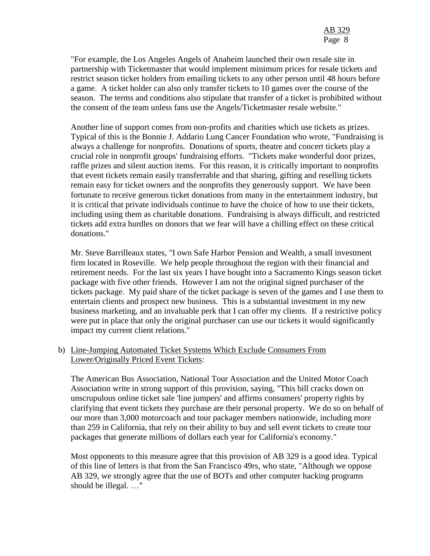"For example, the Los Angeles Angels of Anaheim launched their own resale site in partnership with Ticketmaster that would implement minimum prices for resale tickets and restrict season ticket holders from emailing tickets to any other person until 48 hours before a game. A ticket holder can also only transfer tickets to 10 games over the course of the season. The terms and conditions also stipulate that transfer of a ticket is prohibited without the consent of the team unless fans use the Angels/Ticketmaster resale website."

Another line of support comes from non-profits and charities which use tickets as prizes. Typical of this is the Bonnie J. Addario Lung Cancer Foundation who wrote, "Fundraising is always a challenge for nonprofits. Donations of sports, theatre and concert tickets play a crucial role in nonprofit groups' fundraising efforts. "Tickets make wonderful door prizes, raffle prizes and silent auction items. For this reason, it is critically important to nonprofits that event tickets remain easily transferrable and that sharing, gifting and reselling tickets remain easy for ticket owners and the nonprofits they generously support. We have been fortunate to receive generous ticket donations from many in the entertainment industry, but it is critical that private individuals continue to have the choice of how to use their tickets, including using them as charitable donations. Fundraising is always difficult, and restricted tickets add extra hurdles on donors that we fear will have a chilling effect on these critical donations."

Mr. Steve Barrilleaux states, "I own Safe Harbor Pension and Wealth, a small investment firm located in Roseville. We help people throughout the region with their financial and retirement needs. For the last six years I have bought into a Sacramento Kings season ticket package with five other friends. However I am not the original signed purchaser of the tickets package. My paid share of the ticket package is seven of the games and I use them to entertain clients and prospect new business. This is a substantial investment in my new business marketing, and an invaluable perk that I can offer my clients. If a restrictive policy were put in place that only the original purchaser can use our tickets it would significantly impact my current client relations."

b) Line-Jumping Automated Ticket Systems Which Exclude Consumers From Lower/Originally Priced Event Tickets:

The American Bus Association, National Tour Association and the United Motor Coach Association write in strong support of this provision, saying, "This bill cracks down on unscrupulous online ticket sale 'line jumpers' and affirms consumers' property rights by clarifying that event tickets they purchase are their personal property. We do so on behalf of our more than 3,000 motorcoach and tour packager members nationwide, including more than 259 in California, that rely on their ability to buy and sell event tickets to create tour packages that generate millions of dollars each year for California's economy."

Most opponents to this measure agree that this provision of AB 329 is a good idea. Typical of this line of letters is that from the San Francisco 49rs, who state, "Although we oppose AB 329, we strongly agree that the use of BOTs and other computer hacking programs should be illegal. …"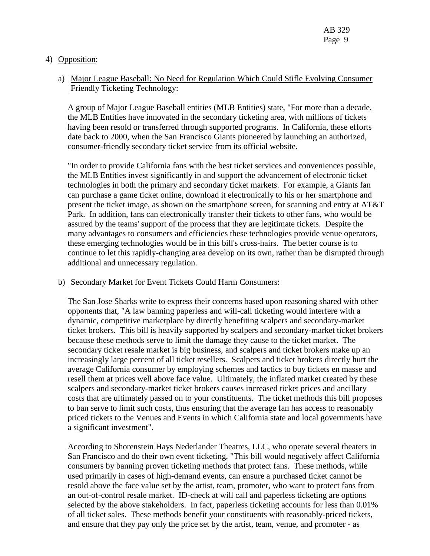## 4) Opposition:

# a) Major League Baseball: No Need for Regulation Which Could Stifle Evolving Consumer Friendly Ticketing Technology:

A group of Major League Baseball entities (MLB Entities) state, "For more than a decade, the MLB Entities have innovated in the secondary ticketing area, with millions of tickets having been resold or transferred through supported programs. In California, these efforts date back to 2000, when the San Francisco Giants pioneered by launching an authorized, consumer-friendly secondary ticket service from its official website.

"In order to provide California fans with the best ticket services and conveniences possible, the MLB Entities invest significantly in and support the advancement of electronic ticket technologies in both the primary and secondary ticket markets. For example, a Giants fan can purchase a game ticket online, download it electronically to his or her smartphone and present the ticket image, as shown on the smartphone screen, for scanning and entry at AT&T Park. In addition, fans can electronically transfer their tickets to other fans, who would be assured by the teams' support of the process that they are legitimate tickets. Despite the many advantages to consumers and efficiencies these technologies provide venue operators, these emerging technologies would be in this bill's cross-hairs. The better course is to continue to let this rapidly-changing area develop on its own, rather than be disrupted through additional and unnecessary regulation.

#### b) Secondary Market for Event Tickets Could Harm Consumers:

The San Jose Sharks write to express their concerns based upon reasoning shared with other opponents that, "A law banning paperless and will-call ticketing would interfere with a dynamic, competitive marketplace by directly benefiting scalpers and secondary-market ticket brokers. This bill is heavily supported by scalpers and secondary-market ticket brokers because these methods serve to limit the damage they cause to the ticket market. The secondary ticket resale market is big business, and scalpers and ticket brokers make up an increasingly large percent of all ticket resellers. Scalpers and ticket brokers directly hurt the average California consumer by employing schemes and tactics to buy tickets en masse and resell them at prices well above face value. Ultimately, the inflated market created by these scalpers and secondary-market ticket brokers causes increased ticket prices and ancillary costs that are ultimately passed on to your constituents. The ticket methods this bill proposes to ban serve to limit such costs, thus ensuring that the average fan has access to reasonably priced tickets to the Venues and Events in which California state and local governments have a significant investment".

According to Shorenstein Hays Nederlander Theatres, LLC, who operate several theaters in San Francisco and do their own event ticketing, "This bill would negatively affect California consumers by banning proven ticketing methods that protect fans. These methods, while used primarily in cases of high-demand events, can ensure a purchased ticket cannot be resold above the face value set by the artist, team, promoter, who want to protect fans from an out-of-control resale market. ID-check at will call and paperless ticketing are options selected by the above stakeholders. In fact, paperless ticketing accounts for less than 0.01% of all ticket sales. These methods benefit your constituents with reasonably-priced tickets, and ensure that they pay only the price set by the artist, team, venue, and promoter - as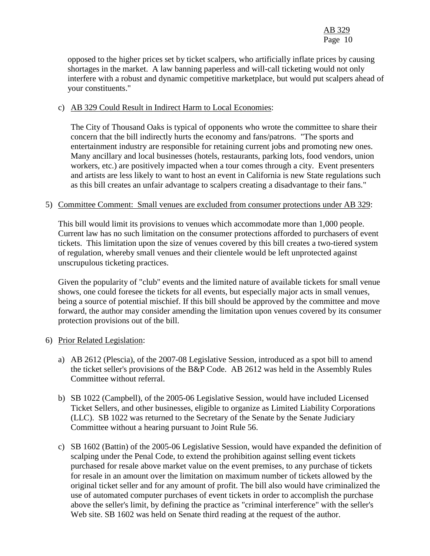opposed to the higher prices set by ticket scalpers, who artificially inflate prices by causing shortages in the market. A law banning paperless and will-call ticketing would not only interfere with a robust and dynamic competitive marketplace, but would put scalpers ahead of your constituents."

#### c) AB 329 Could Result in Indirect Harm to Local Economies:

The City of Thousand Oaks is typical of opponents who wrote the committee to share their concern that the bill indirectly hurts the economy and fans/patrons. "The sports and entertainment industry are responsible for retaining current jobs and promoting new ones. Many ancillary and local businesses (hotels, restaurants, parking lots, food vendors, union workers, etc.) are positively impacted when a tour comes through a city. Event presenters and artists are less likely to want to host an event in California is new State regulations such as this bill creates an unfair advantage to scalpers creating a disadvantage to their fans."

#### 5) Committee Comment: Small venues are excluded from consumer protections under AB 329:

This bill would limit its provisions to venues which accommodate more than 1,000 people. Current law has no such limitation on the consumer protections afforded to purchasers of event tickets. This limitation upon the size of venues covered by this bill creates a two-tiered system of regulation, whereby small venues and their clientele would be left unprotected against unscrupulous ticketing practices.

Given the popularity of "club" events and the limited nature of available tickets for small venue shows, one could foresee the tickets for all events, but especially major acts in small venues, being a source of potential mischief. If this bill should be approved by the committee and move forward, the author may consider amending the limitation upon venues covered by its consumer protection provisions out of the bill.

#### 6) Prior Related Legislation:

- a) AB 2612 (Plescia), of the 2007-08 Legislative Session, introduced as a spot bill to amend the ticket seller's provisions of the B&P Code. AB 2612 was held in the Assembly Rules Committee without referral.
- b) SB 1022 (Campbell), of the 2005-06 Legislative Session, would have included Licensed Ticket Sellers, and other businesses, eligible to organize as Limited Liability Corporations (LLC). SB 1022 was returned to the Secretary of the Senate by the Senate Judiciary Committee without a hearing pursuant to Joint Rule 56.
- c) SB 1602 (Battin) of the 2005-06 Legislative Session, would have expanded the definition of scalping under the Penal Code, to extend the prohibition against selling event tickets purchased for resale above market value on the event premises, to any purchase of tickets for resale in an amount over the limitation on maximum number of tickets allowed by the original ticket seller and for any amount of profit. The bill also would have criminalized the use of automated computer purchases of event tickets in order to accomplish the purchase above the seller's limit, by defining the practice as "criminal interference" with the seller's Web site. SB 1602 was held on Senate third reading at the request of the author.